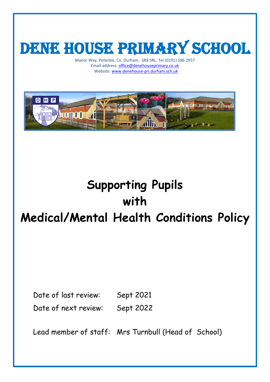# DENE HOUSE PRIMARY SCHOOL

Manor Way, Peterlee, Co. Durham. SR8 5RL. Tel (0191) 586 2937 Email address[: office@denehouseprimary.co.uk](mailto:office@denehouseprimary.co.uk) Website[: www.denehouse-pri.durham.sch.uk](http://www.denehouse-pri.durham.sch.uk/)



## **Supporting Pupils with Medical/Mental Health Conditions Policy**

Date of last review: Sept 2021 Date of next review: Sept 2022

Lead member of staff: Mrs Turnbull (Head of School)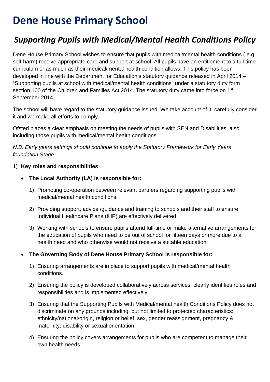### **Dene House Primary School**

### *Supporting Pupils with Medical/Mental Health Conditions Policy*

Dene House Primary School wishes to ensure that pupils with medical/mental health conditions (.e.g. self-harm) receive appropriate care and support at school. All pupils have an entitlement to a full time curriculum or as much as their medical/mental health condition allows. This policy has been developed in line with the Department for Education's statutory guidance released in April 2014 – "Supporting pupils at school with medical/mental health conditions" under a statutory duty form section 100 of the Children and Families Act 2014. The statutory duty came into force on 1<sup>st</sup> September 2014

The school will have regard to the statutory guidance issued. We take account of it, carefully consider it and we make all efforts to comply.

Ofsted places a clear emphasis on meeting the needs of pupils with SEN and Disabilities, also including those pupils with medical/mental health conditions.

*N.B. Early years settings should continue to apply the Statutory Framework for Early Years foundation Stage.* 

#### 1) **Key roles and responsibilities**

- **The Local Authority (LA) is responsible for:**
	- 1) Promoting co-operation between relevant partners regarding supporting pupils with medical/mental health conditions.
	- 2) Providing support, advice /guidance and training to schools and their staff to ensure Individual Healthcare Plans (IHP) are effectively delivered.
	- 3) Working with schools to ensure pupils attend full-time or make alternative arrangements for the education of pupils who need to be out of school for fifteen days or more due to a health need and who otherwise would not receive a suitable education.

#### • **The Governing Body of Dene House Primary School is responsible for:**

- 1) Ensuring arrangements are in place to support pupils with medical/mental health conditions.
- 2) Ensuring the policy is developed collaboratively across services, clearly identifies roles and responsibilities and is implemented effectively.
- 3) Ensuring that the Supporting Pupils with Medical/mental health Conditions Policy does not discriminate on any grounds including, but not limited to protected characteristics: ethnicity/national/origin, religion or belief, sex, gender reassignment, pregnancy & maternity, disability or sexual orientation.
- 4) Ensuring the policy covers arrangements for pupils who are competent to manage their own health needs.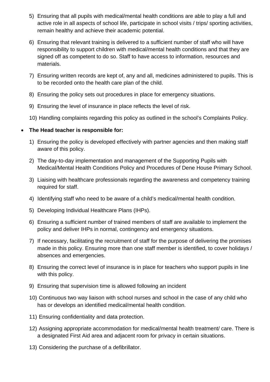- 5) Ensuring that all pupils with medical/mental health conditions are able to play a full and active role in all aspects of school life, participate in school visits / trips/ sporting activities, remain healthy and achieve their academic potential.
- 6) Ensuring that relevant training is delivered to a sufficient number of staff who will have responsibility to support children with medical/mental health conditions and that they are signed off as competent to do so. Staff to have access to information, resources and materials.
- 7) Ensuring written records are kept of, any and all, medicines administered to pupils. This is to be recorded onto the health care plan of the child.
- 8) Ensuring the policy sets out procedures in place for emergency situations.
- 9) Ensuring the level of insurance in place reflects the level of risk.
- 10) Handling complaints regarding this policy as outlined in the school's Complaints Policy.

#### • **The Head teacher is responsible for:**

- 1) Ensuring the policy is developed effectively with partner agencies and then making staff aware of this policy.
- 2) The day-to-day implementation and management of the Supporting Pupils with Medical/Mental Health Conditions Policy and Procedures of Dene House Primary School.
- 3) Liaising with healthcare professionals regarding the awareness and competency training required for staff.
- 4) Identifying staff who need to be aware of a child's medical/mental health condition.
- 5) Developing Individual Healthcare Plans (IHPs).
- 6) Ensuring a sufficient number of trained members of staff are available to implement the policy and deliver IHPs in normal, contingency and emergency situations.
- 7) If necessary, facilitating the recruitment of staff for the purpose of delivering the promises made in this policy. Ensuring more than one staff member is identified, to cover holidays / absences and emergencies.
- 8) Ensuring the correct level of insurance is in place for teachers who support pupils in line with this policy.
- 9) Ensuring that supervision time is allowed following an incident
- 10) Continuous two way liaison with school nurses and school in the case of any child who has or develops an identified medical/mental health condition.
- 11) Ensuring confidentiality and data protection.
- 12) Assigning appropriate accommodation for medical/mental health treatment/ care. There is a designated First Aid area and adjacent room for privacy in certain situations.
- 13) Considering the purchase of a defibrillator.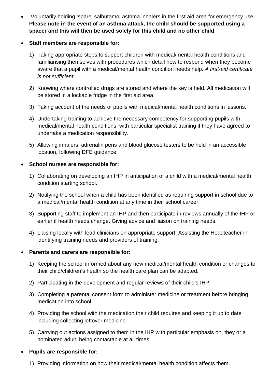- Voluntarily holding 'spare' salbutamol asthma inhalers in the first aid area for emergency use. **Please note in the event of an asthma attack, the child should be supported using a spacer and this will then be used solely for this child and no other child**.
- **Staff members are responsible for:**
	- 1) Taking appropriate steps to support children with medical/mental health conditions and familiarising themselves with procedures which detail how to respond when they become aware that a pupil with a medical/mental health condition needs help. *A first-aid certificate is not sufficient*.
	- 2) Knowing where controlled drugs are stored and where the key is held. All medication will be stored in a lockable fridge in the first aid area.
	- 3) Taking account of the needs of pupils with medical/mental health conditions in lessons.
	- 4) Undertaking training to achieve the necessary competency for supporting pupils with medical/mental health conditions, with particular specialist training if they have agreed to undertake a medication responsibility.
	- 5) Allowing inhalers, adrenalin pens and blood glucose testers to be held in an accessible location, following DFE guidance.

#### • **School nurses are responsible for:**

- 1) Collaborating on developing an IHP in anticipation of a child with a medical/mental health condition starting school.
- 2) Notifying the school when a child has been identified as requiring support in school due to a medical/mental health condition at any time in their school career.
- 3) Supporting staff to implement an IHP and then participate in reviews annually of the IHP or earlier if health needs change. Giving advice and liaison on training needs.
- 4) Liaising locally with lead clinicians on appropriate support. Assisting the Headteacher in identifying training needs and providers of training.

#### • **Parents and carers are responsible for:**

- 1) Keeping the school informed about any new medical/mental health condition or changes to their child/children's health so the health care plan can be adapted.
- 2) Participating in the development and regular reviews of their child's IHP.
- 3) Completing a parental consent form to administer medicine or treatment before bringing medication into school.
- 4) Providing the school with the medication their child requires and keeping it up to date including collecting leftover medicine.
- 5) Carrying out actions assigned to them in the IHP with particular emphasis on, they or a nominated adult, being contactable at all times.

#### • **Pupils are responsible for:**

1) Providing information on how their medical/mental health condition affects them.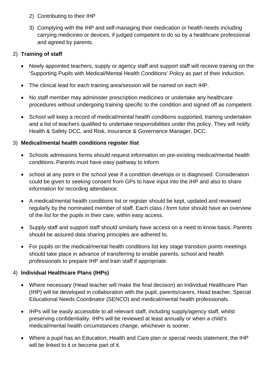- 2) Contributing to their IHP
- 3) Complying with the IHP and self-managing their medication or health needs including carrying medicines or devices, if judged competent to do so by a healthcare professional and agreed by parents.

#### 2) **Training of staff**

- Newly appointed teachers, supply or agency staff and support staff will receive training on the 'Supporting Pupils with Medical/Mental Health Conditions' Policy as part of their induction.
- The clinical lead for each training area/session will be named on each IHP.
- No staff member may administer prescription medicines or undertake any healthcare procedures without undergoing training specific to the condition and signed off as competent.
- School will keep a record of medical/mental health conditions supported, training undertaken and a list of teachers qualified to undertake responsibilities under this policy. They will notify Health & Safety DCC, and Risk, Insurance & Governance Manager, DCC.

#### 3) **Medical/mental health conditions register /list**

- Schools admissions forms should request information on pre-existing medical/mental health conditions. Parents must have easy pathway to inform
- school at any point in the school year if a condition develops or is diagnosed. Consideration could be given to seeking consent from GPs to have input into the IHP and also to share information for recording attendance.
- A medical/mental health conditions list or register should be kept, updated and reviewed regularly by the nominated member of staff. Each class / form tutor should have an overview of the list for the pupils in their care, within easy access.
- Supply staff and support staff should similarly have access on a need to know basis. Parents should be assured data sharing principles are adhered to.
- For pupils on the medical/mental health conditions list key stage transition points meetings should take place in advance of transferring to enable parents, school and health professionals to prepare IHP and train staff if appropriate.

#### 4) **Individual Healthcare Plans (IHPs)**

- Where necessary (Head teacher will make the final decision) an Individual Healthcare Plan (IHP) will be developed in collaboration with the pupil, parents/carers, Head teacher, Special Educational Needs Coordinator (SENCO) and medical/mental health professionals.
- IHPs will be easily accessible to all relevant staff, including supply/agency staff, whilst preserving confidentiality. IHPs will be reviewed at least annually or when a child's medical/mental health circumstances change, whichever is sooner.
- Where a pupil has an Education, Health and Care plan or special needs statement, the IHP will be linked to it or become part of it.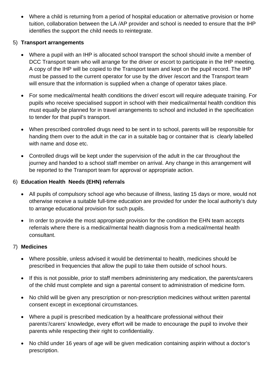• Where a child is returning from a period of hospital education or alternative provision or home tuition, collaboration between the LA /AP provider and school is needed to ensure that the IHP identifies the support the child needs to reintegrate.

#### 5) **Transport arrangements**

- Where a pupil with an IHP is allocated school transport the school should invite a member of DCC Transport team who will arrange for the driver or escort to participate in the IHP meeting. A copy of the IHP will be copied to the Transport team and kept on the pupil record. The IHP must be passed to the current operator for use by the driver /escort and the Transport team will ensure that the information is supplied when a change of operator takes place.
- For some medical/mental health conditions the driver/ escort will require adequate training. For pupils who receive specialised support in school with their medical/mental health condition this must equally be planned for in travel arrangements to school and included in the specification to tender for that pupil's transport.
- When prescribed controlled drugs need to be sent in to school, parents will be responsible for handing them over to the adult in the car in a suitable bag or container that is clearly labelled with name and dose etc.
- Controlled drugs will be kept under the supervision of the adult in the car throughout the journey and handed to a school staff member on arrival. Any change in this arrangement will be reported to the Transport team for approval or appropriate action.

#### 6) **Education Health Needs (EHN) referrals**

- All pupils of compulsory school age who because of illness, lasting 15 days or more, would not otherwise receive a suitable full-time education are provided for under the local authority's duty to arrange educational provision for such pupils.
- In order to provide the most appropriate provision for the condition the EHN team accepts referrals where there is a medical/mental health diagnosis from a medical/mental health consultant.

#### 7) **Medicines**

- Where possible, unless advised it would be detrimental to health, medicines should be prescribed in frequencies that allow the pupil to take them outside of school hours.
- If this is not possible, prior to staff members administering any medication, the parents/carers of the child must complete and sign a parental consent to administration of medicine form.
- No child will be given any prescription or non-prescription medicines without written parental consent except in exceptional circumstances.
- Where a pupil is prescribed medication by a healthcare professional without their parents'/carers' knowledge, every effort will be made to encourage the pupil to involve their parents while respecting their right to confidentiality.
- No child under 16 years of age will be given medication containing aspirin without a doctor's prescription.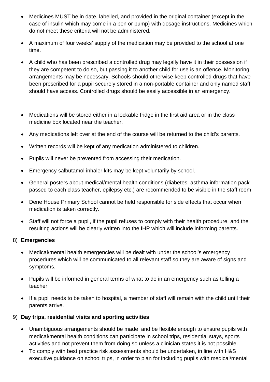- Medicines MUST be in date, labelled, and provided in the original container (except in the case of insulin which may come in a pen or pump) with dosage instructions. Medicines which do not meet these criteria will not be administered.
- A maximum of four weeks' supply of the medication may be provided to the school at one time.
- A child who has been prescribed a controlled drug may legally have it in their possession if they are competent to do so, but passing it to another child for use is an offence. Monitoring arrangements may be necessary. Schools should otherwise keep controlled drugs that have been prescribed for a pupil securely stored in a non-portable container and only named staff should have access. Controlled drugs should be easily accessible in an emergency.
- Medications will be stored either in a lockable fridge in the first aid area or in the class medicine box located near the teacher.
- Any medications left over at the end of the course will be returned to the child's parents.
- Written records will be kept of any medication administered to children.
- Pupils will never be prevented from accessing their medication.
- Emergency salbutamol inhaler kits may be kept voluntarily by school.
- General posters about medical/mental health conditions (diabetes, asthma information pack passed to each class teacher, epilepsy etc.) are recommended to be visible in the staff room
- Dene House Primary School cannot be held responsible for side effects that occur when medication is taken correctly.
- Staff will not force a pupil, if the pupil refuses to comply with their health procedure, and the resulting actions will be clearly written into the IHP which will include informing parents.

#### 8) **Emergencies**

- Medical/mental health emergencies will be dealt with under the school's emergency procedures which will be communicated to all relevant staff so they are aware of signs and symptoms.
- Pupils will be informed in general terms of what to do in an emergency such as telling a teacher.
- If a pupil needs to be taken to hospital, a member of staff will remain with the child until their parents arrive.

#### 9) **Day trips, residential visits and sporting activities**

- Unambiguous arrangements should be made and be flexible enough to ensure pupils with medical/mental health conditions can participate in school trips, residential stays, sports activities and not prevent them from doing so unless a clinician states it is not possible.
- To comply with best practice risk assessments should be undertaken, in line with H&S executive guidance on school trips, in order to plan for including pupils with medical/mental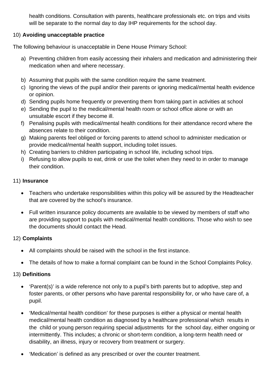health conditions. Consultation with parents, healthcare professionals etc. on trips and visits will be separate to the normal day to day IHP requirements for the school day.

#### 10) **Avoiding unacceptable practice**

The following behaviour is unacceptable in Dene House Primary School:

- a) Preventing children from easily accessing their inhalers and medication and administering their medication when and where necessary.
- b) Assuming that pupils with the same condition require the same treatment.
- c) Ignoring the views of the pupil and/or their parents or ignoring medical/mental health evidence or opinion.
- d) Sending pupils home frequently or preventing them from taking part in activities at school
- e) Sending the pupil to the medical/mental health room or school office alone or with an unsuitable escort if they become ill.
- f) Penalising pupils with medical/mental health conditions for their attendance record where the absences relate to their condition.
- g) Making parents feel obliged or forcing parents to attend school to administer medication or provide medical/mental health support, including toilet issues.
- h) Creating barriers to children participating in school life, including school trips.
- i) Refusing to allow pupils to eat, drink or use the toilet when they need to in order to manage their condition.

#### 11) **Insurance**

- Teachers who undertake responsibilities within this policy will be assured by the Headteacher that are covered by the school's insurance.
- Full written insurance policy documents are available to be viewed by members of staff who are providing support to pupils with medical/mental health conditions. Those who wish to see the documents should contact the Head.

#### 12) **Complaints**

- All complaints should be raised with the school in the first instance.
- The details of how to make a formal complaint can be found in the School Complaints Policy.

#### 13) **Definitions**

- 'Parent(s)' is a wide reference not only to a pupil's birth parents but to adoptive, step and foster parents, or other persons who have parental responsibility for, or who have care of, a pupil.
- 'Medical/mental health condition' for these purposes is either a physical or mental health medical/mental health condition as diagnosed by a healthcare professional which results in the child or young person requiring special adjustments for the school day, either ongoing or intermittently. This includes; a chronic or short-term condition, a long-term health need or disability, an illness, injury or recovery from treatment or surgery.
- 'Medication' is defined as any prescribed or over the counter treatment.